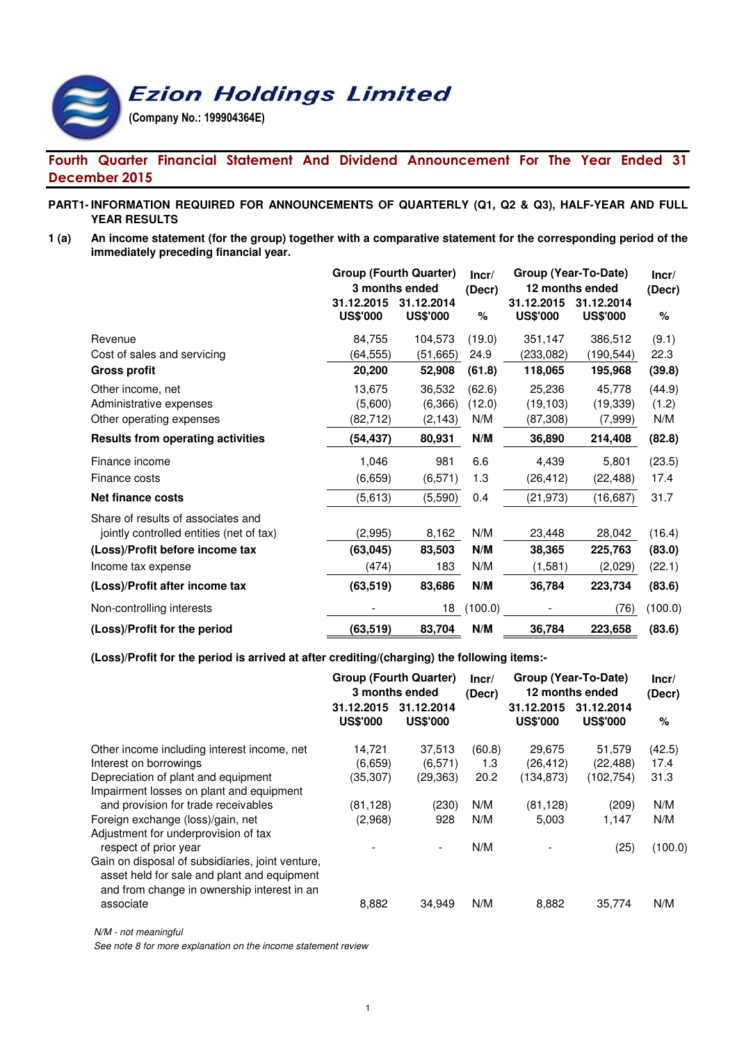# **Ezion Holdings Limited** (Company No.: 199904364E)

# Fourth Quarter Financial Statement And Dividend Announcement For The Year Ended 31 December 2015

### **PART1- INFORMATION REQUIRED FOR ANNOUNCEMENTS OF QUARTERLY (Q1, Q2 & Q3), HALF-YEAR AND FULL YEAR RESULTS**

**1 (a) An income statement (for the group) together with a comparative statement for the corresponding period of the immediately preceding financial year.**

|                                          | <b>Group (Fourth Quarter)</b><br>3 months ended<br>31.12.2015 | Incr/<br>(Decr)               | Group (Year-To-Date)<br>12 months ended<br>31.12.2015<br>31.12.2014 |                 |                 |         |
|------------------------------------------|---------------------------------------------------------------|-------------------------------|---------------------------------------------------------------------|-----------------|-----------------|---------|
|                                          | <b>US\$'000</b>                                               | 31.12.2014<br><b>US\$'000</b> | %                                                                   | <b>US\$'000</b> | <b>US\$'000</b> | $\%$    |
| Revenue                                  | 84,755                                                        | 104,573                       | (19.0)                                                              | 351,147         | 386,512         | (9.1)   |
| Cost of sales and servicing              | (64, 555)                                                     | (51, 665)                     | 24.9                                                                | (233, 082)      | (190, 544)      | 22.3    |
| <b>Gross profit</b>                      | 20,200                                                        | 52,908                        | (61.8)                                                              | 118,065         | 195,968         | (39.8)  |
| Other income, net                        | 13,675                                                        | 36,532                        | (62.6)                                                              | 25,236          | 45,778          | (44.9)  |
| Administrative expenses                  | (5,600)                                                       | (6,366)                       | (12.0)                                                              | (19, 103)       | (19, 339)       | (1.2)   |
| Other operating expenses                 | (82,712)                                                      | (2, 143)                      | N/M                                                                 | (87,308)        | (7,999)         | N/M     |
| <b>Results from operating activities</b> | (54, 437)                                                     | 80,931                        | N/M                                                                 | 36,890          | 214,408         | (82.8)  |
| Finance income                           | 1,046                                                         | 981                           | 6.6                                                                 | 4,439           | 5,801           | (23.5)  |
| Finance costs                            | (6,659)                                                       | (6, 571)                      | 1.3                                                                 | (26, 412)       | (22, 488)       | 17.4    |
| Net finance costs                        | (5,613)                                                       | (5,590)                       | 0.4                                                                 | (21, 973)       | (16, 687)       | 31.7    |
| Share of results of associates and       |                                                               |                               |                                                                     |                 |                 |         |
| jointly controlled entities (net of tax) | (2,995)                                                       | 8,162                         | N/M                                                                 | 23,448          | 28,042          | (16.4)  |
| (Loss)/Profit before income tax          | (63, 045)                                                     | 83,503                        | N/M                                                                 | 38,365          | 225,763         | (83.0)  |
| Income tax expense                       | (474)                                                         | 183                           | N/M                                                                 | (1,581)         | (2,029)         | (22.1)  |
| (Loss)/Profit after income tax           | (63, 519)                                                     | 83,686                        | N/M                                                                 | 36,784          | 223,734         | (83.6)  |
| Non-controlling interests                |                                                               | 18                            | (100.0)                                                             |                 | (76)            | (100.0) |
| (Loss)/Profit for the period             | (63, 519)                                                     | 83,704                        | N/M                                                                 | 36,784          | 223,658         | (83.6)  |

**(Loss)/Profit for the period is arrived at after crediting/(charging) the following items:-**

|                                                                                                                                                |                                | <b>Group (Fourth Quarter)</b><br>3 months ended | Group (Year-To-Date)<br>Incr/<br>12 months ended<br>(Decr) |                                   |                                   | Incr/<br>(Decr)        |  |
|------------------------------------------------------------------------------------------------------------------------------------------------|--------------------------------|-------------------------------------------------|------------------------------------------------------------|-----------------------------------|-----------------------------------|------------------------|--|
|                                                                                                                                                | 31.12.2015<br><b>US\$'000</b>  | 31.12.2014<br><b>US\$'000</b>                   |                                                            | 31.12.2015<br><b>US\$'000</b>     | 31.12.2014<br><b>US\$'000</b>     | $\%$                   |  |
| Other income including interest income, net<br>Interest on borrowings<br>Depreciation of plant and equipment                                   | 14,721<br>(6,659)<br>(35, 307) | 37,513<br>(6, 571)<br>(29, 363)                 | (60.8)<br>1.3<br>20.2                                      | 29,675<br>(26, 412)<br>(134, 873) | 51,579<br>(22, 488)<br>(102, 754) | (42.5)<br>17.4<br>31.3 |  |
| Impairment losses on plant and equipment<br>and provision for trade receivables                                                                | (81, 128)                      | (230)                                           | N/M                                                        | (81, 128)                         | (209)                             | N/M                    |  |
| Foreign exchange (loss)/gain, net<br>Adjustment for underprovision of tax<br>respect of prior year                                             | (2,968)                        | 928                                             | N/M<br>N/M                                                 | 5,003                             | 1,147<br>(25)                     | N/M<br>(100.0)         |  |
| Gain on disposal of subsidiaries, joint venture,<br>asset held for sale and plant and equipment<br>and from change in ownership interest in an |                                |                                                 |                                                            |                                   |                                   |                        |  |
| associate                                                                                                                                      | 8,882                          | 34,949                                          | N/M                                                        | 8,882                             | 35,774                            | N/M                    |  |

N/M - not meaningful

See note 8 for more explanation on the income statement review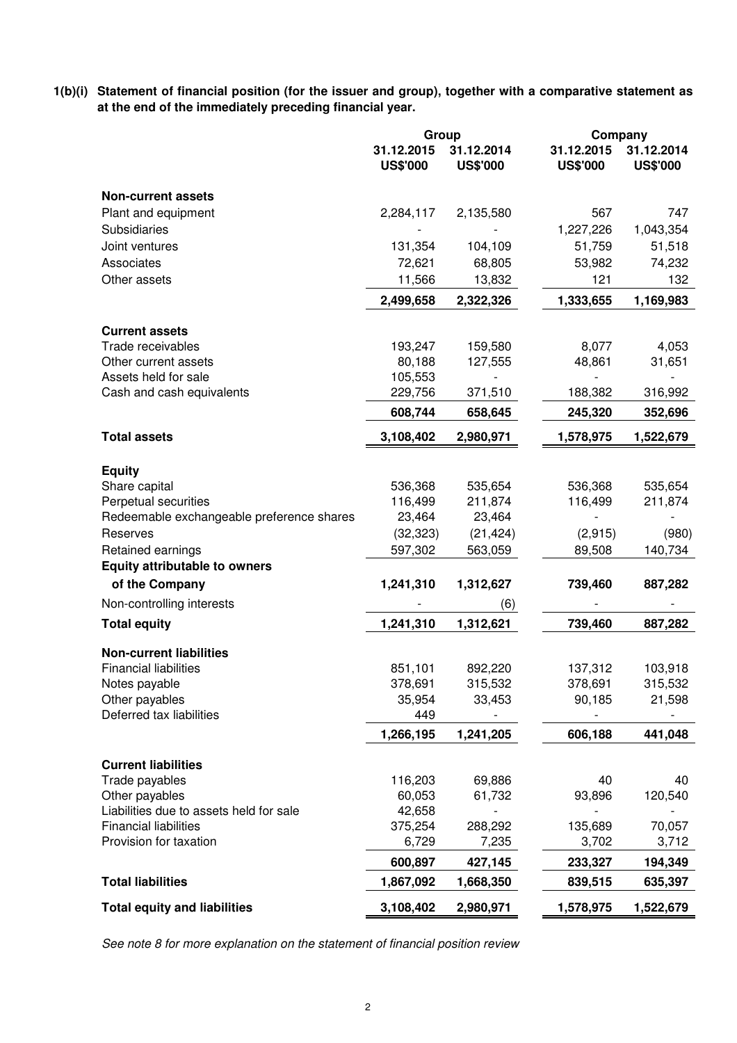**1(b)(i) Statement of financial position (for the issuer and group), together with a comparative statement as at the end of the immediately preceding financial year.**

|                                           | Group                         |                               |                               | Company                       |
|-------------------------------------------|-------------------------------|-------------------------------|-------------------------------|-------------------------------|
|                                           | 31.12.2015<br><b>US\$'000</b> | 31.12.2014<br><b>US\$'000</b> | 31.12.2015<br><b>US\$'000</b> | 31.12.2014<br><b>US\$'000</b> |
| <b>Non-current assets</b>                 |                               |                               |                               |                               |
| Plant and equipment                       | 2,284,117                     | 2,135,580                     | 567                           | 747                           |
| Subsidiaries                              |                               |                               | 1,227,226                     | 1,043,354                     |
| Joint ventures                            | 131,354                       | 104,109                       | 51,759                        | 51,518                        |
| Associates                                | 72,621                        | 68,805                        | 53,982                        | 74,232                        |
| Other assets                              | 11,566                        | 13,832                        | 121                           | 132                           |
|                                           | 2,499,658                     | 2,322,326                     | 1,333,655                     | 1,169,983                     |
| <b>Current assets</b>                     |                               |                               |                               |                               |
| Trade receivables                         | 193,247                       | 159,580                       | 8,077                         | 4,053                         |
| Other current assets                      | 80,188                        | 127,555                       | 48,861                        | 31,651                        |
| Assets held for sale                      | 105,553                       |                               |                               |                               |
| Cash and cash equivalents                 | 229,756                       | 371,510                       | 188,382                       | 316,992                       |
|                                           | 608,744                       | 658,645                       | 245,320                       | 352,696                       |
| <b>Total assets</b>                       | 3,108,402                     | 2,980,971                     | 1,578,975                     | 1,522,679                     |
|                                           |                               |                               |                               |                               |
| <b>Equity</b><br>Share capital            | 536,368                       | 535,654                       | 536,368                       | 535,654                       |
| Perpetual securities                      | 116,499                       | 211,874                       | 116,499                       | 211,874                       |
| Redeemable exchangeable preference shares | 23,464                        | 23,464                        |                               |                               |
| Reserves                                  | (32, 323)                     | (21, 424)                     | (2,915)                       | (980)                         |
| Retained earnings                         | 597,302                       | 563,059                       | 89,508                        | 140,734                       |
| <b>Equity attributable to owners</b>      |                               |                               |                               |                               |
| of the Company                            | 1,241,310                     | 1,312,627                     | 739,460                       | 887,282                       |
| Non-controlling interests                 |                               | (6)                           |                               |                               |
| <b>Total equity</b>                       | 1,241,310                     | 1,312,621                     | 739,460                       | 887,282                       |
| <b>Non-current liabilities</b>            |                               |                               |                               |                               |
| <b>Financial liabilities</b>              | 851,101                       | 892,220                       | 137,312                       | 103,918                       |
| Notes payable                             | 378,691                       | 315,532                       | 378,691                       | 315,532                       |
| Other payables                            | 35,954                        | 33,453                        | 90,185                        | 21,598                        |
| Deferred tax liabilities                  | 449                           |                               |                               |                               |
|                                           | 1,266,195                     | 1,241,205                     | 606,188                       | 441,048                       |
| <b>Current liabilities</b>                |                               |                               |                               |                               |
| Trade payables                            | 116,203                       | 69,886                        | 40                            | 40                            |
| Other payables                            | 60,053                        | 61,732                        | 93,896                        | 120,540                       |
| Liabilities due to assets held for sale   | 42,658                        |                               |                               |                               |
| <b>Financial liabilities</b>              | 375,254                       | 288,292                       | 135,689                       | 70,057                        |
| Provision for taxation                    | 6,729                         | 7,235                         | 3,702                         | 3,712                         |
|                                           | 600,897                       | 427,145                       | 233,327                       | 194,349                       |
| <b>Total liabilities</b>                  | 1,867,092                     | 1,668,350                     | 839,515                       | 635,397                       |
| <b>Total equity and liabilities</b>       | 3,108,402                     | 2,980,971                     | 1,578,975                     | 1,522,679                     |

See note 8 for more explanation on the statement of financial position review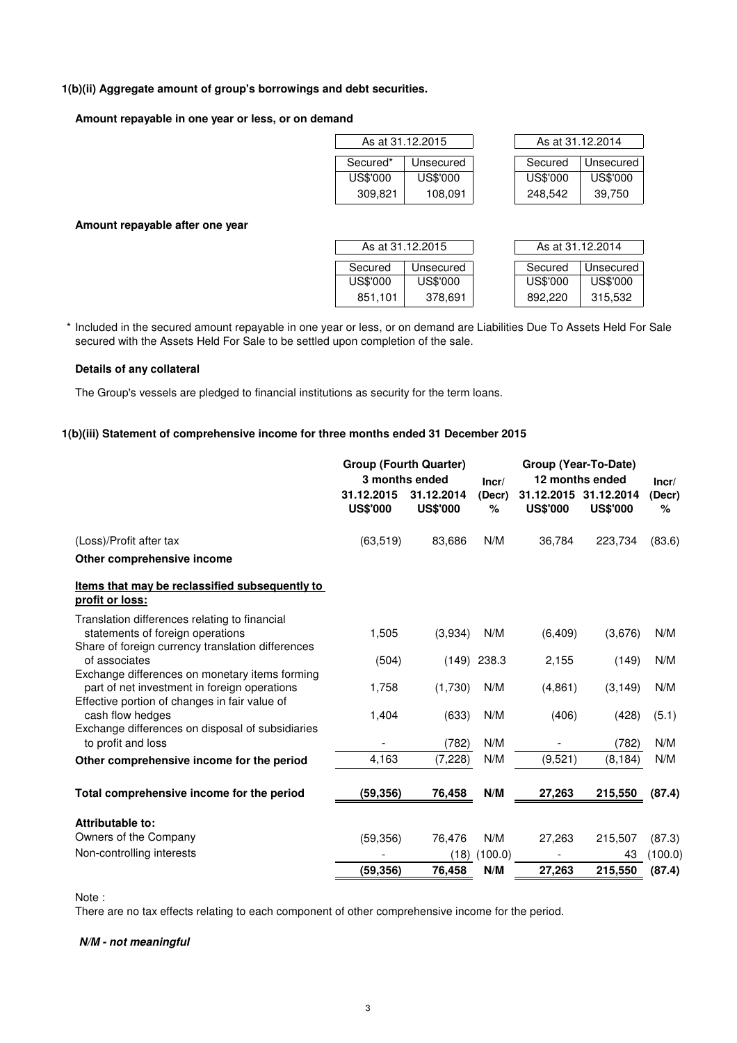### **1(b)(ii) Aggregate amount of group's borrowings and debt securities.**

#### **Amount repayable in one year or less, or on demand**

| As at 31.12.2015 |          |           |          | As at 31.12.2014 |
|------------------|----------|-----------|----------|------------------|
|                  | Secured* | Unsecured | Secured  | Unsecured        |
|                  | US\$'000 | US\$'000  | US\$'000 | US\$'000         |
|                  | 309,821  | 108,091   | 248,542  | 39.750           |

| As at 31.12.2014 |           |  |  |  |  |  |
|------------------|-----------|--|--|--|--|--|
|                  |           |  |  |  |  |  |
| Secured          | Unsecured |  |  |  |  |  |
| US\$'000         | US\$'000  |  |  |  |  |  |
| 248,542          | 39.750    |  |  |  |  |  |

#### **Amount repayable after one year**

|          | As at 31.12.2015 | As at 31.12.2014 |           |
|----------|------------------|------------------|-----------|
| Secured  | Unsecured        | Secured          | Unsecured |
| US\$'000 | US\$'000         | US\$'000         | US\$'000  |
| 851,101  | 378,691          | 892.220          | 315,532   |

\* Included in the secured amount repayable in one year or less, or on demand are Liabilities Due To Assets Held For Sale secured with the Assets Held For Sale to be settled upon completion of the sale.

#### **Details of any collateral**

The Group's vessels are pledged to financial institutions as security for the term loans.

#### **1(b)(iii) Statement of comprehensive income for three months ended 31 December 2015**

|                                                                                                                                                 | 31.12.2015      | <b>Group (Fourth Quarter)</b><br>3 months ended<br>31.12.2014 | Incr/<br>(Decr) | 31.12.2015      | Group (Year-To-Date)<br>12 months ended<br>31.12.2014 | Incr/<br>(Decr) |  |
|-------------------------------------------------------------------------------------------------------------------------------------------------|-----------------|---------------------------------------------------------------|-----------------|-----------------|-------------------------------------------------------|-----------------|--|
|                                                                                                                                                 | <b>US\$'000</b> | <b>US\$'000</b>                                               | %               | <b>US\$'000</b> | <b>US\$'000</b>                                       | %               |  |
| (Loss)/Profit after tax                                                                                                                         | (63, 519)       | 83,686                                                        | N/M             | 36,784          | 223,734                                               | (83.6)          |  |
| Other comprehensive income                                                                                                                      |                 |                                                               |                 |                 |                                                       |                 |  |
| Items that may be reclassified subsequently to<br>profit or loss:                                                                               |                 |                                                               |                 |                 |                                                       |                 |  |
| Translation differences relating to financial<br>statements of foreign operations<br>Share of foreign currency translation differences          | 1,505           | (3,934)                                                       | N/M             | (6, 409)        | (3,676)                                               | N/M             |  |
| of associates                                                                                                                                   | (504)           |                                                               | $(149)$ 238.3   | 2,155           | (149)                                                 | N/M             |  |
| Exchange differences on monetary items forming<br>part of net investment in foreign operations<br>Effective portion of changes in fair value of | 1,758           | (1,730)                                                       | N/M             | (4,861)         | (3, 149)                                              | N/M             |  |
| cash flow hedges                                                                                                                                | 1,404           | (633)                                                         | N/M             | (406)           | (428)                                                 | (5.1)           |  |
| Exchange differences on disposal of subsidiaries<br>to profit and loss                                                                          |                 | (782)                                                         | N/M             |                 | (782)                                                 | N/M             |  |
| Other comprehensive income for the period                                                                                                       | 4,163           | (7, 228)                                                      | N/M             | (9,521)         | (8, 184)                                              | N/M             |  |
| Total comprehensive income for the period                                                                                                       | (59,356)        | 76,458                                                        | N/M             | 27,263          | 215,550                                               | (87.4)          |  |
| Attributable to:                                                                                                                                |                 |                                                               |                 |                 |                                                       |                 |  |
| Owners of the Company                                                                                                                           | (59, 356)       | 76,476                                                        | N/M             | 27,263          | 215,507                                               | (87.3)          |  |
| Non-controlling interests                                                                                                                       |                 | (18)                                                          | (100.0)         |                 | 43                                                    | (100.0)         |  |
|                                                                                                                                                 | (59, 356)       | 76,458                                                        | N/M             | 27,263          | 215,550                                               | (87.4)          |  |

Note :

There are no tax effects relating to each component of other comprehensive income for the period.

#### **N/M - not meaningful**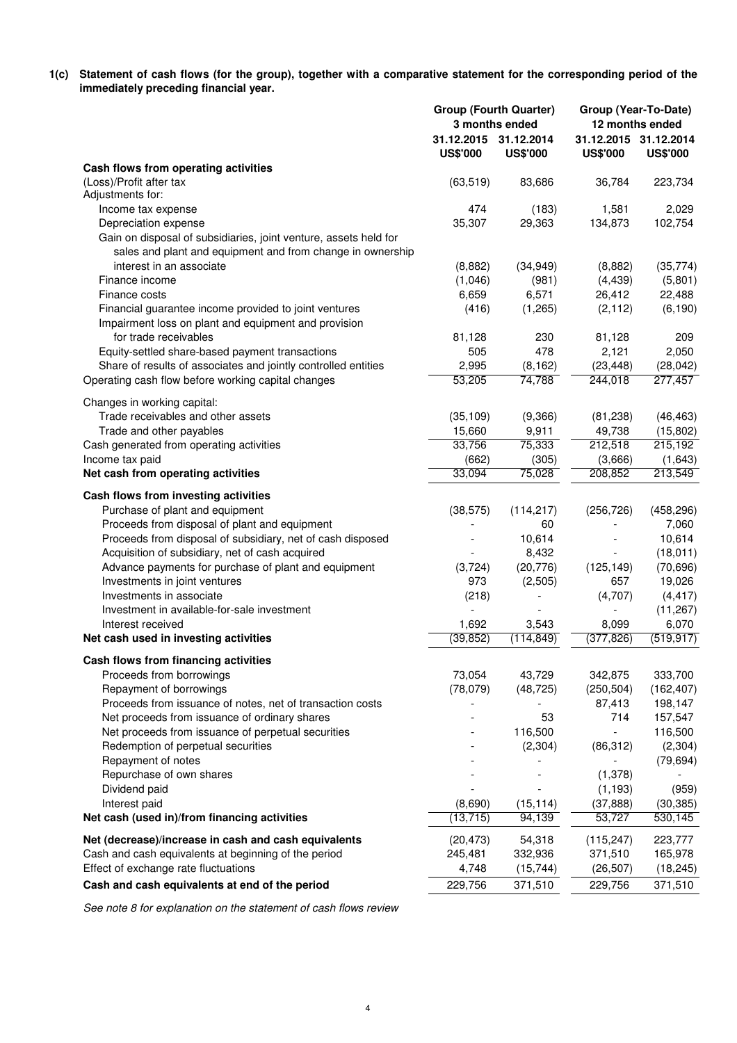**1(c) Statement of cash flows (for the group), together with a comparative statement for the corresponding period of the immediately preceding financial year.**

|                                                                   | <b>Group (Fourth Quarter)</b><br>3 months ended |                               | Group (Year-To-Date)<br>12 months ended |                                          |  |
|-------------------------------------------------------------------|-------------------------------------------------|-------------------------------|-----------------------------------------|------------------------------------------|--|
|                                                                   | 31.12.2015<br><b>US\$'000</b>                   | 31.12.2014<br><b>US\$'000</b> | <b>US\$'000</b>                         | 31.12.2015 31.12.2014<br><b>US\$'000</b> |  |
| Cash flows from operating activities                              |                                                 |                               |                                         |                                          |  |
| (Loss)/Profit after tax                                           | (63, 519)                                       | 83,686                        | 36,784                                  | 223,734                                  |  |
| Adjustments for:                                                  |                                                 |                               |                                         |                                          |  |
| Income tax expense                                                | 474                                             | (183)                         | 1,581                                   | 2,029                                    |  |
| Depreciation expense                                              | 35,307                                          | 29,363                        | 134,873                                 | 102,754                                  |  |
| Gain on disposal of subsidiaries, joint venture, assets held for  |                                                 |                               |                                         |                                          |  |
| sales and plant and equipment and from change in ownership        |                                                 |                               |                                         |                                          |  |
| interest in an associate<br>Finance income                        | (8,882)                                         | (34, 949)                     | (8,882)                                 | (35, 774)                                |  |
| Finance costs                                                     | (1,046)<br>6,659                                | (981)<br>6,571                | (4, 439)<br>26,412                      | (5,801)<br>22,488                        |  |
| Financial guarantee income provided to joint ventures             | (416)                                           | (1,265)                       | (2, 112)                                | (6, 190)                                 |  |
| Impairment loss on plant and equipment and provision              |                                                 |                               |                                         |                                          |  |
| for trade receivables                                             | 81,128                                          | 230                           | 81,128                                  | 209                                      |  |
| Equity-settled share-based payment transactions                   | 505                                             | 478                           | 2,121                                   | 2,050                                    |  |
| Share of results of associates and jointly controlled entities    | 2,995                                           | (8, 162)                      | (23, 448)                               | (28, 042)                                |  |
| Operating cash flow before working capital changes                | 53,205                                          | 74,788                        | 244,018                                 | 277,457                                  |  |
|                                                                   |                                                 |                               |                                         |                                          |  |
| Changes in working capital:<br>Trade receivables and other assets | (35, 109)                                       | (9,366)                       | (81, 238)                               | (46, 463)                                |  |
| Trade and other payables                                          | 15,660                                          | 9,911                         | 49,738                                  | (15,802)                                 |  |
| Cash generated from operating activities                          | 33,756                                          | 75,333                        | 212,518                                 | 215,192                                  |  |
| Income tax paid                                                   | (662)                                           | (305)                         | (3,666)                                 | (1,643)                                  |  |
| Net cash from operating activities                                | 33,094                                          | 75,028                        | 208,852                                 | 213,549                                  |  |
| Cash flows from investing activities                              |                                                 |                               |                                         |                                          |  |
| Purchase of plant and equipment                                   | (38, 575)                                       | (114, 217)                    | (256, 726)                              | (458, 296)                               |  |
| Proceeds from disposal of plant and equipment                     |                                                 | 60                            |                                         | 7,060                                    |  |
| Proceeds from disposal of subsidiary, net of cash disposed        |                                                 | 10,614                        |                                         | 10,614                                   |  |
| Acquisition of subsidiary, net of cash acquired                   |                                                 | 8,432                         |                                         | (18, 011)                                |  |
| Advance payments for purchase of plant and equipment              | (3,724)                                         | (20, 776)                     | (125, 149)                              | (70, 696)                                |  |
| Investments in joint ventures                                     | 973                                             | (2,505)                       | 657                                     | 19,026                                   |  |
| Investments in associate                                          | (218)                                           |                               | (4,707)                                 | (4, 417)                                 |  |
| Investment in available-for-sale investment                       |                                                 |                               |                                         | (11, 267)                                |  |
| Interest received                                                 | 1,692                                           | 3,543                         | 8,099                                   | 6,070                                    |  |
| Net cash used in investing activities                             | (39, 852)                                       | (114, 849)                    | (377, 826)                              | (519, 917)                               |  |
| Cash flows from financing activities                              |                                                 |                               |                                         |                                          |  |
| Proceeds from borrowings                                          | 73,054                                          | 43,729                        | 342,875                                 | 333,700                                  |  |
| Repayment of borrowings                                           | (78,079)                                        | (48, 725)                     | (250, 504)                              | (162, 407)                               |  |
| Proceeds from issuance of notes, net of transaction costs         |                                                 |                               | 87,413                                  | 198,147                                  |  |
| Net proceeds from issuance of ordinary shares                     |                                                 | 53                            | 714                                     | 157,547                                  |  |
| Net proceeds from issuance of perpetual securities                |                                                 | 116,500                       | $\overline{\phantom{a}}$                | 116,500                                  |  |
| Redemption of perpetual securities                                |                                                 | (2,304)                       | (86, 312)                               | (2, 304)                                 |  |
| Repayment of notes                                                |                                                 |                               |                                         | (79, 694)                                |  |
| Repurchase of own shares                                          |                                                 |                               | (1, 378)                                |                                          |  |
| Dividend paid<br>Interest paid                                    | (8,690)                                         | (15, 114)                     | (1, 193)<br>(37, 888)                   | (959)<br>(30, 385)                       |  |
| Net cash (used in)/from financing activities                      | (13, 715)                                       | 94,139                        | 53,727                                  | 530,145                                  |  |
|                                                                   |                                                 |                               |                                         |                                          |  |
| Net (decrease)/increase in cash and cash equivalents              | (20, 473)                                       | 54,318                        | (115, 247)                              | 223,777                                  |  |
| Cash and cash equivalents at beginning of the period              | 245,481                                         | 332,936                       | 371,510                                 | 165,978                                  |  |
| Effect of exchange rate fluctuations                              | 4,748                                           | (15, 744)                     | (26, 507)                               | (18, 245)                                |  |
| Cash and cash equivalents at end of the period                    | 229,756                                         | 371,510                       | 229,756                                 | 371,510                                  |  |

See note 8 for explanation on the statement of cash flows review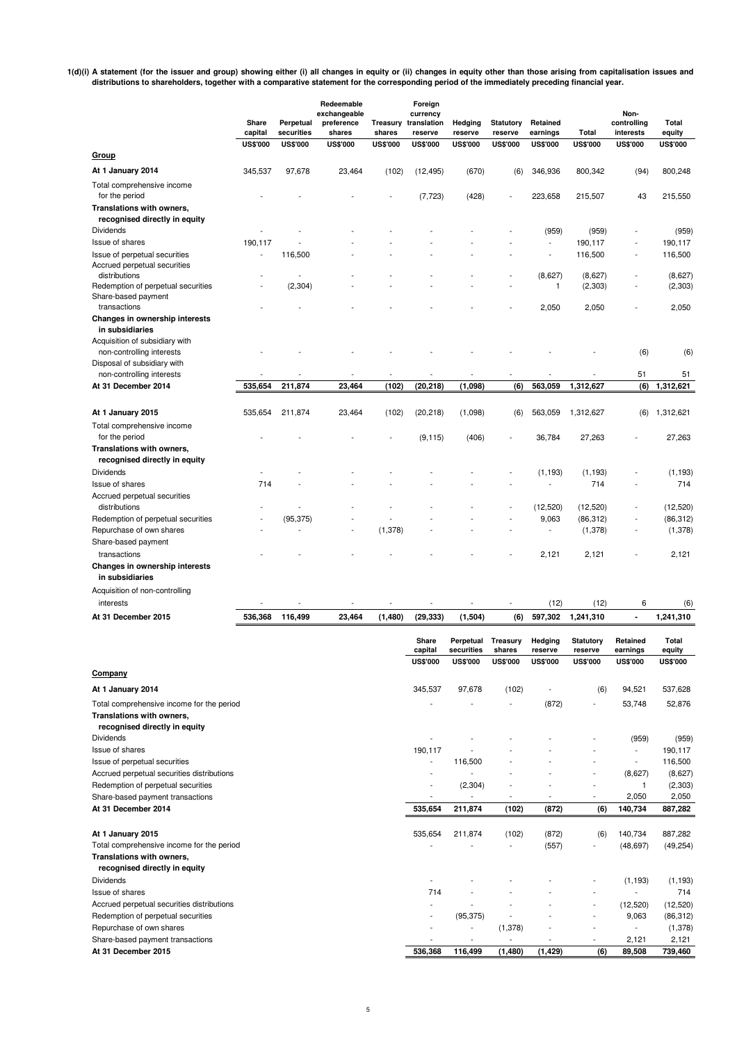**1(d)(i) A statement (for the issuer and group) showing either (i) all changes in equity or (ii) changes in equity other than those arising from capitalisation issues and distributions to shareholders, together with a comparative statement for the corresponding period of the immediately preceding financial year.**

|                                                                                | Share<br>capital | Perpetual<br>securities | Redeemable<br>exchangeable<br>preference<br>shares | Treasury<br>shares | Foreign<br>currency<br>translation<br>reserve | Hedging<br>reserve | <b>Statutory</b><br>reserve | Retained<br>earnings         | Total                 | Non-<br>controlling<br>interests | Total<br>equity        |
|--------------------------------------------------------------------------------|------------------|-------------------------|----------------------------------------------------|--------------------|-----------------------------------------------|--------------------|-----------------------------|------------------------------|-----------------------|----------------------------------|------------------------|
| <b>Group</b>                                                                   | <b>US\$'000</b>  | <b>US\$'000</b>         | <b>US\$'000</b>                                    | <b>US\$'000</b>    | <b>US\$'000</b>                               | <b>US\$'000</b>    | <b>US\$'000</b>             | <b>US\$'000</b>              | <b>US\$'000</b>       | <b>US\$'000</b>                  | <b>US\$'000</b>        |
| At 1 January 2014                                                              | 345,537          | 97,678                  | 23,464                                             | (102)              | (12, 495)                                     | (670)              | (6)                         | 346,936                      | 800,342               | (94)                             | 800,248                |
| Total comprehensive income<br>for the period                                   |                  |                         |                                                    |                    | (7, 723)                                      | (428)              |                             | 223,658                      | 215,507               | 43                               | 215,550                |
| Translations with owners,<br>recognised directly in equity                     |                  |                         |                                                    |                    |                                               |                    |                             |                              |                       |                                  |                        |
| <b>Dividends</b>                                                               |                  |                         |                                                    |                    |                                               |                    |                             | (959)                        | (959)                 |                                  | (959)                  |
| Issue of shares                                                                | 190.117          |                         |                                                    |                    |                                               |                    | ÷,                          | $\overline{\phantom{a}}$     | 190,117               | ÷                                | 190,117                |
| Issue of perpetual securities<br>Accrued perpetual securities<br>distributions |                  | 116,500                 |                                                    |                    |                                               |                    |                             | (8,627)                      | 116,500<br>(8,627)    | $\overline{\phantom{a}}$         | 116,500<br>(8,627)     |
| Redemption of perpetual securities<br>Share-based payment                      | Ĭ.               | (2,304)                 |                                                    |                    |                                               |                    |                             | 1                            | (2, 303)              | ÷                                | (2, 303)               |
| transactions<br>Changes in ownership interests<br>in subsidiaries              |                  |                         |                                                    |                    |                                               |                    |                             | 2,050                        | 2,050                 |                                  | 2,050                  |
| Acquisition of subsidiary with<br>non-controlling interests                    |                  |                         |                                                    |                    |                                               |                    |                             |                              |                       | (6)                              | (6)                    |
| Disposal of subsidiary with                                                    |                  |                         |                                                    |                    |                                               |                    |                             |                              |                       |                                  |                        |
| non-controlling interests<br>At 31 December 2014                               | 535,654          | 211,874                 | 23,464                                             | (102)              | (20, 218)                                     | (1,098)            | (6)                         | 563,059                      | 1,312,627             | 51<br>(6)                        | 51<br>1,312,621        |
|                                                                                |                  |                         |                                                    |                    |                                               |                    |                             |                              |                       |                                  |                        |
| At 1 January 2015                                                              | 535,654          | 211,874                 | 23,464                                             | (102)              | (20, 218)                                     | (1,098)            | (6)                         | 563,059                      | 1,312,627             | (6)                              | 1,312,621              |
| Total comprehensive income<br>for the period<br>Translations with owners,      |                  |                         |                                                    |                    | (9, 115)                                      | (406)              |                             | 36,784                       | 27,263                |                                  | 27,263                 |
| recognised directly in equity<br><b>Dividends</b>                              |                  |                         |                                                    |                    |                                               |                    |                             | (1, 193)                     | (1, 193)              | L,                               | (1, 193)               |
| <b>Issue of shares</b>                                                         | 714              |                         |                                                    |                    |                                               |                    |                             | ÷                            | 714                   |                                  | 714                    |
| Accrued perpetual securities                                                   |                  |                         |                                                    |                    |                                               |                    |                             |                              |                       |                                  |                        |
| distributions<br>Redemption of perpetual securities                            |                  | (95, 375)               |                                                    |                    |                                               |                    |                             | (12, 520)<br>9,063           | (12,520)<br>(86, 312) |                                  | (12, 520)<br>(86, 312) |
| Repurchase of own shares                                                       |                  |                         |                                                    | (1,378)            |                                               |                    |                             | ٠                            | (1,378)               |                                  | (1,378)                |
| Share-based payment<br>transactions                                            |                  |                         |                                                    |                    |                                               |                    |                             | 2,121                        | 2,121                 |                                  | 2,121                  |
| Changes in ownership interests<br>in subsidiaries                              |                  |                         |                                                    |                    |                                               |                    |                             |                              |                       |                                  |                        |
| Acquisition of non-controlling<br>interests                                    |                  |                         |                                                    |                    |                                               |                    |                             |                              |                       |                                  |                        |
| At 31 December 2015                                                            | 536,368          | 116,499                 | 23,464                                             | (1,480)            | (29, 333)                                     | (1,504)            | (6)                         | (12)<br>597,302              | (12)<br>1,241,310     | 6<br>$\blacksquare$              | (6)<br>1,241,310       |
|                                                                                |                  |                         |                                                    |                    | Share                                         | Perpetual          | Treasury                    | Hedging                      | <b>Statutory</b>      | Retained                         | Total                  |
|                                                                                |                  |                         |                                                    |                    | capital                                       | securities         | shares                      | reserve                      | reserve               | earnings                         | equity                 |
| Company                                                                        |                  |                         |                                                    |                    | <b>US\$'000</b>                               | <b>US\$'000</b>    | <b>US\$'000</b>             | <b>US\$'000</b>              | <b>US\$'000</b>       | <b>US\$'000</b>                  | <b>US\$'000</b>        |
| At 1 January 2014                                                              |                  |                         |                                                    |                    | 345,537                                       | 97,678             | (102)                       | $\qquad \qquad \blacksquare$ | (6)                   | 94,521                           | 537,628                |
| Total comprehensive income for the period<br>Translations with owners,         |                  |                         |                                                    |                    |                                               |                    | $\overline{\phantom{a}}$    | (872)                        | $\overline{a}$        | 53,748                           | 52,876                 |
| recognised directly in equity                                                  |                  |                         |                                                    |                    |                                               |                    |                             |                              |                       |                                  |                        |
| <b>Dividends</b>                                                               |                  |                         |                                                    |                    | Ĭ.                                            |                    |                             |                              |                       | (959)                            | (959)                  |
| Issue of shares                                                                |                  |                         |                                                    |                    | 190,117<br>÷,                                 | 116,500            |                             |                              |                       | $\overline{a}$<br>÷,             | 190,117<br>116,500     |
| Issue of perpetual securities<br>Accrued perpetual securities distributions    |                  |                         |                                                    |                    |                                               |                    |                             |                              | L,                    | (8,627)                          | (8,627)                |
| Redemption of perpetual securities                                             |                  |                         |                                                    |                    |                                               | (2, 304)           |                             |                              | $\overline{a}$        | 1                                | (2, 303)               |
| Share-based payment transactions                                               |                  |                         |                                                    |                    | $\overline{a}$                                |                    |                             |                              | $\overline{a}$        | 2,050                            | 2,050                  |
| At 31 December 2014                                                            |                  |                         |                                                    |                    | 535,654                                       | 211,874            | (102)                       | (872)                        | (6)                   | 140,734                          | 887,282                |
| At 1 January 2015                                                              |                  |                         |                                                    |                    | 535,654                                       | 211,874            | (102)                       | (872)                        | (6)                   | 140,734                          | 887,282                |
| Total comprehensive income for the period                                      |                  |                         |                                                    |                    |                                               |                    | ÷,                          | (557)                        | $\overline{a}$        | (48, 697)                        | (49, 254)              |
| Translations with owners,                                                      |                  |                         |                                                    |                    |                                               |                    |                             |                              |                       |                                  |                        |
| recognised directly in equity<br><b>Dividends</b>                              |                  |                         |                                                    |                    | $\overline{a}$                                |                    |                             |                              |                       | (1, 193)                         | (1, 193)               |
|                                                                                |                  |                         |                                                    |                    |                                               |                    |                             |                              |                       |                                  |                        |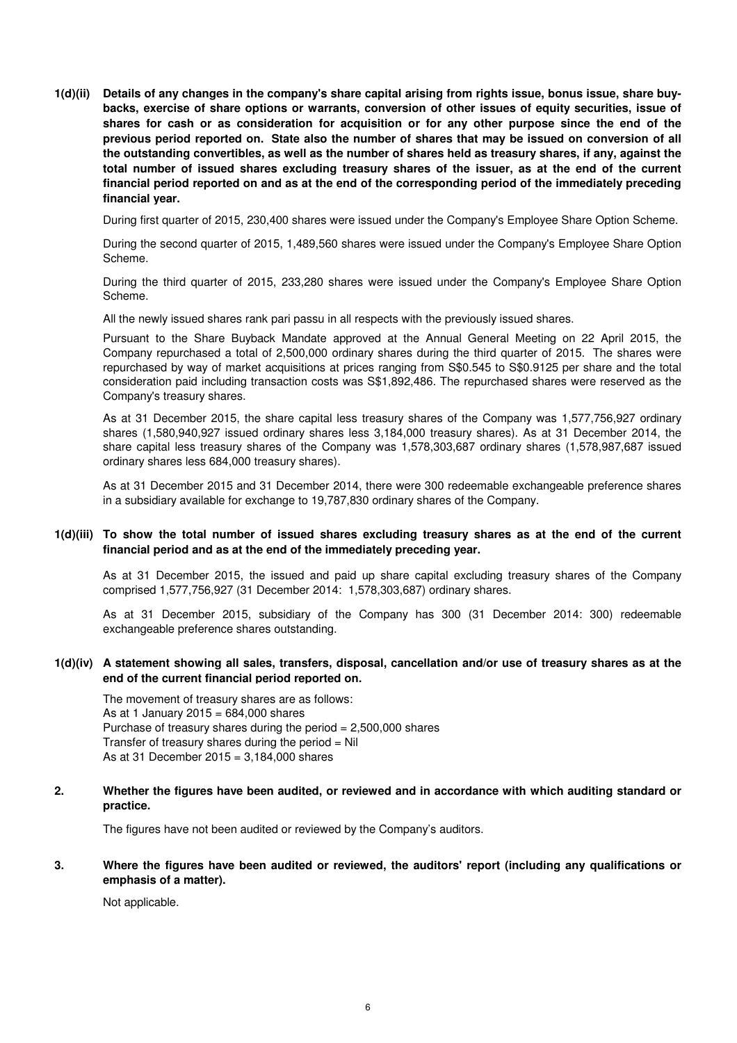**1(d)(ii) Details of any changes in the company's share capital arising from rights issue, bonus issue, share buybacks, exercise of share options or warrants, conversion of other issues of equity securities, issue of shares for cash or as consideration for acquisition or for any other purpose since the end of the previous period reported on. State also the number of shares that may be issued on conversion of all the outstanding convertibles, as well as the number of shares held as treasury shares, if any, against the total number of issued shares excluding treasury shares of the issuer, as at the end of the current financial period reported on and as at the end of the corresponding period of the immediately preceding financial year.**

During first quarter of 2015, 230,400 shares were issued under the Company's Employee Share Option Scheme.

During the second quarter of 2015, 1,489,560 shares were issued under the Company's Employee Share Option Scheme.

During the third quarter of 2015, 233,280 shares were issued under the Company's Employee Share Option Scheme.

All the newly issued shares rank pari passu in all respects with the previously issued shares.

Pursuant to the Share Buyback Mandate approved at the Annual General Meeting on 22 April 2015, the Company repurchased a total of 2,500,000 ordinary shares during the third quarter of 2015. The shares were repurchased by way of market acquisitions at prices ranging from S\$0.545 to S\$0.9125 per share and the total consideration paid including transaction costs was S\$1,892,486. The repurchased shares were reserved as the Company's treasury shares.

As at 31 December 2015, the share capital less treasury shares of the Company was 1,577,756,927 ordinary shares (1,580,940,927 issued ordinary shares less 3,184,000 treasury shares). As at 31 December 2014, the share capital less treasury shares of the Company was 1,578,303,687 ordinary shares (1,578,987,687 issued ordinary shares less 684,000 treasury shares).

As at 31 December 2015 and 31 December 2014, there were 300 redeemable exchangeable preference shares in a subsidiary available for exchange to 19,787,830 ordinary shares of the Company.

#### **1(d)(iii) To show the total number of issued shares excluding treasury shares as at the end of the current financial period and as at the end of the immediately preceding year.**

As at 31 December 2015, the issued and paid up share capital excluding treasury shares of the Company comprised 1,577,756,927 (31 December 2014: 1,578,303,687) ordinary shares.

As at 31 December 2015, subsidiary of the Company has 300 (31 December 2014: 300) redeemable exchangeable preference shares outstanding.

#### **1(d)(iv) A statement showing all sales, transfers, disposal, cancellation and/or use of treasury shares as at the end of the current financial period reported on.**

The movement of treasury shares are as follows: As at 1 January 2015 =  $684.000$  shares Purchase of treasury shares during the period = 2,500,000 shares Transfer of treasury shares during the period  $=$  Nil As at 31 December 2015 = 3,184,000 shares

#### **2. Whether the figures have been audited, or reviewed and in accordance with which auditing standard or practice.**

The figures have not been audited or reviewed by the Company's auditors.

#### **3. Where the figures have been audited or reviewed, the auditors' report (including any qualifications or emphasis of a matter).**

Not applicable.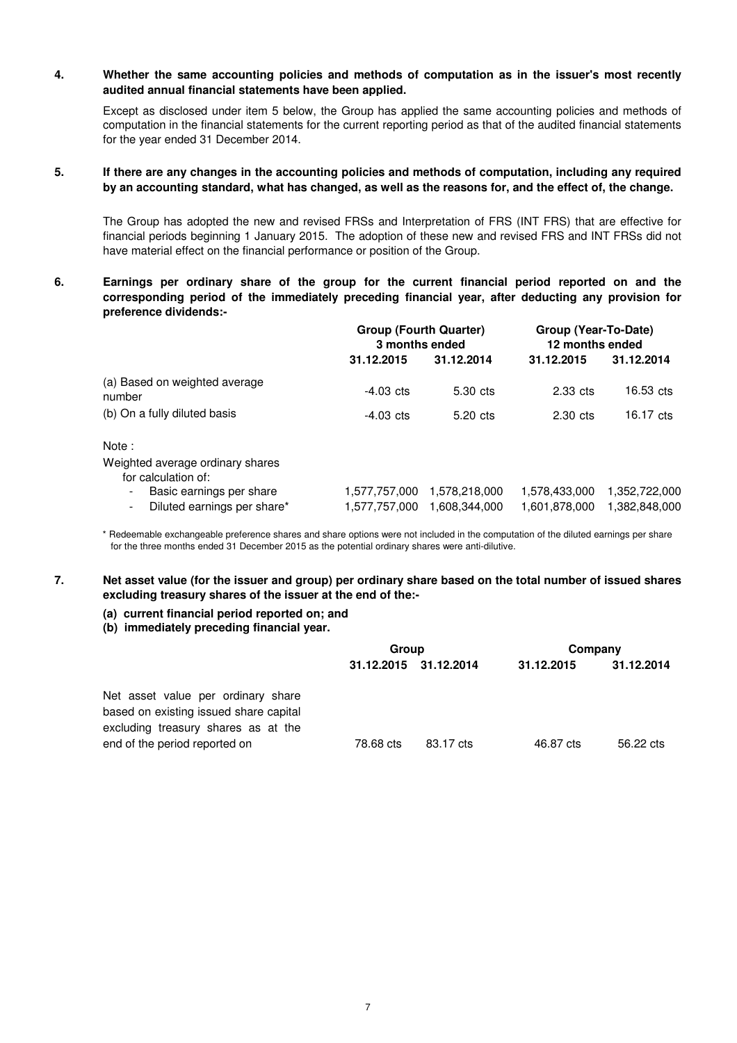#### **4. Whether the same accounting policies and methods of computation as in the issuer's most recently audited annual financial statements have been applied.**

Except as disclosed under item 5 below, the Group has applied the same accounting policies and methods of computation in the financial statements for the current reporting period as that of the audited financial statements for the year ended 31 December 2014.

#### **5. If there are any changes in the accounting policies and methods of computation, including any required by an accounting standard, what has changed, as well as the reasons for, and the effect of, the change.**

The Group has adopted the new and revised FRSs and Interpretation of FRS (INT FRS) that are effective for financial periods beginning 1 January 2015. The adoption of these new and revised FRS and INT FRSs did not have material effect on the financial performance or position of the Group.

**6. Earnings per ordinary share of the group for the current financial period reported on and the corresponding period of the immediately preceding financial year, after deducting any provision for preference dividends:-**

|                                                         | <b>Group (Fourth Quarter)</b><br>3 months ended |                                | Group (Year-To-Date)<br>12 months ended |                                |  |
|---------------------------------------------------------|-------------------------------------------------|--------------------------------|-----------------------------------------|--------------------------------|--|
|                                                         | 31.12.2015                                      | 31.12.2014                     | 31.12.2015                              | 31.12.2014                     |  |
| (a) Based on weighted average<br>number                 | $-4.03$ cts                                     | 5.30 cts                       | $2.33$ cts                              | $16.53$ cts                    |  |
| (b) On a fully diluted basis                            | $-4.03$ cts                                     | 5.20 cts                       | $2.30 \text{ cts}$                      | $16.17 \text{ cts}$            |  |
| Note:                                                   |                                                 |                                |                                         |                                |  |
| Weighted average ordinary shares<br>for calculation of: |                                                 |                                |                                         |                                |  |
| Basic earnings per share<br>Diluted earnings per share* | 1.577.757.000<br>1,577,757,000                  | 1,578,218,000<br>1.608.344.000 | 1.578.433.000<br>1,601,878,000          | 1,352,722,000<br>1,382,848,000 |  |

\* Redeemable exchangeable preference shares and share options were not included in the computation of the diluted earnings per share for the three months ended 31 December 2015 as the potential ordinary shares were anti-dilutive.

#### **7. Net asset value (for the issuer and group) per ordinary share based on the total number of issued shares excluding treasury shares of the issuer at the end of the:-**

# **(a) current financial period reported on; and**

#### **(b) immediately preceding financial year.**

|                                                                                                                                                      | Group                 |           | Company    |            |  |
|------------------------------------------------------------------------------------------------------------------------------------------------------|-----------------------|-----------|------------|------------|--|
|                                                                                                                                                      | 31.12.2015 31.12.2014 |           | 31.12.2015 | 31.12.2014 |  |
| Net asset value per ordinary share<br>based on existing issued share capital<br>excluding treasury shares as at the<br>end of the period reported on | 78.68 cts             | 83.17 cts | 46.87 cts  | 56.22 cts  |  |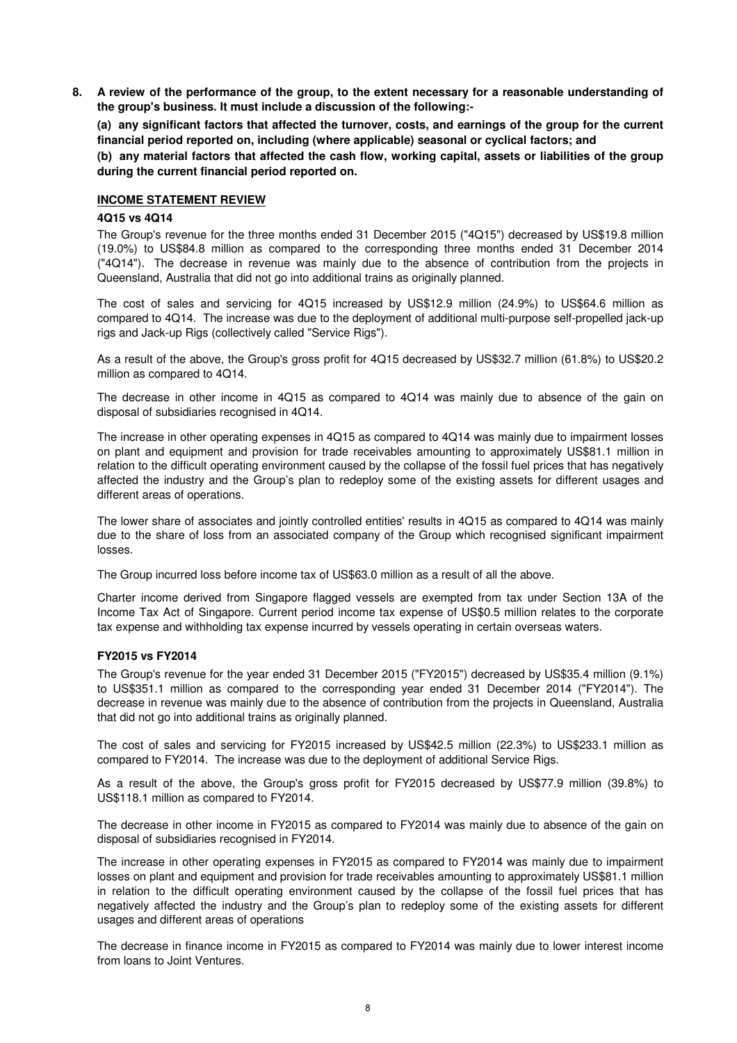**8. A review of the performance of the group, to the extent necessary for a reasonable understanding of the group's business. It must include a discussion of the following:-** 

**(a) any significant factors that affected the turnover, costs, and earnings of the group for the current financial period reported on, including (where applicable) seasonal or cyclical factors; and**

**(b) any material factors that affected the cash flow, working capital, assets or liabilities of the group during the current financial period reported on.**

#### **INCOME STATEMENT REVIEW**

#### **4Q15 vs 4Q14**

The Group's revenue for the three months ended 31 December 2015 ("4Q15") decreased by US\$19.8 million (19.0%) to US\$84.8 million as compared to the corresponding three months ended 31 December 2014 ("4Q14"). The decrease in revenue was mainly due to the absence of contribution from the projects in Queensland, Australia that did not go into additional trains as originally planned.

The cost of sales and servicing for 4Q15 increased by US\$12.9 million (24.9%) to US\$64.6 million as compared to 4Q14. The increase was due to the deployment of additional multi-purpose self-propelled jack-up rigs and Jack-up Rigs (collectively called "Service Rigs").

As a result of the above, the Group's gross profit for 4Q15 decreased by US\$32.7 million (61.8%) to US\$20.2 million as compared to 4Q14.

The decrease in other income in 4Q15 as compared to 4Q14 was mainly due to absence of the gain on disposal of subsidiaries recognised in 4Q14.

The increase in other operating expenses in 4Q15 as compared to 4Q14 was mainly due to impairment losses on plant and equipment and provision for trade receivables amounting to approximately US\$81.1 million in relation to the difficult operating environment caused by the collapse of the fossil fuel prices that has negatively affected the industry and the Group's plan to redeploy some of the existing assets for different usages and different areas of operations.

The lower share of associates and jointly controlled entities' results in 4Q15 as compared to 4Q14 was mainly due to the share of loss from an associated company of the Group which recognised significant impairment losses.

The Group incurred loss before income tax of US\$63.0 million as a result of all the above.

Charter income derived from Singapore flagged vessels are exempted from tax under Section 13A of the Income Tax Act of Singapore. Current period income tax expense of US\$0.5 million relates to the corporate tax expense and withholding tax expense incurred by vessels operating in certain overseas waters.

#### **FY2015 vs FY2014**

The Group's revenue for the year ended 31 December 2015 ("FY2015") decreased by US\$35.4 million (9.1%) to US\$351.1 million as compared to the corresponding year ended 31 December 2014 ("FY2014"). The decrease in revenue was mainly due to the absence of contribution from the projects in Queensland, Australia that did not go into additional trains as originally planned.

The cost of sales and servicing for FY2015 increased by US\$42.5 million (22.3%) to US\$233.1 million as compared to FY2014. The increase was due to the deployment of additional Service Rigs.

As a result of the above, the Group's gross profit for FY2015 decreased by US\$77.9 million (39.8%) to US\$118.1 million as compared to FY2014.

The decrease in other income in FY2015 as compared to FY2014 was mainly due to absence of the gain on disposal of subsidiaries recognised in FY2014.

The increase in other operating expenses in FY2015 as compared to FY2014 was mainly due to impairment losses on plant and equipment and provision for trade receivables amounting to approximately US\$81.1 million in relation to the difficult operating environment caused by the collapse of the fossil fuel prices that has negatively affected the industry and the Group's plan to redeploy some of the existing assets for different usages and different areas of operations

The decrease in finance income in FY2015 as compared to FY2014 was mainly due to lower interest income from loans to Joint Ventures.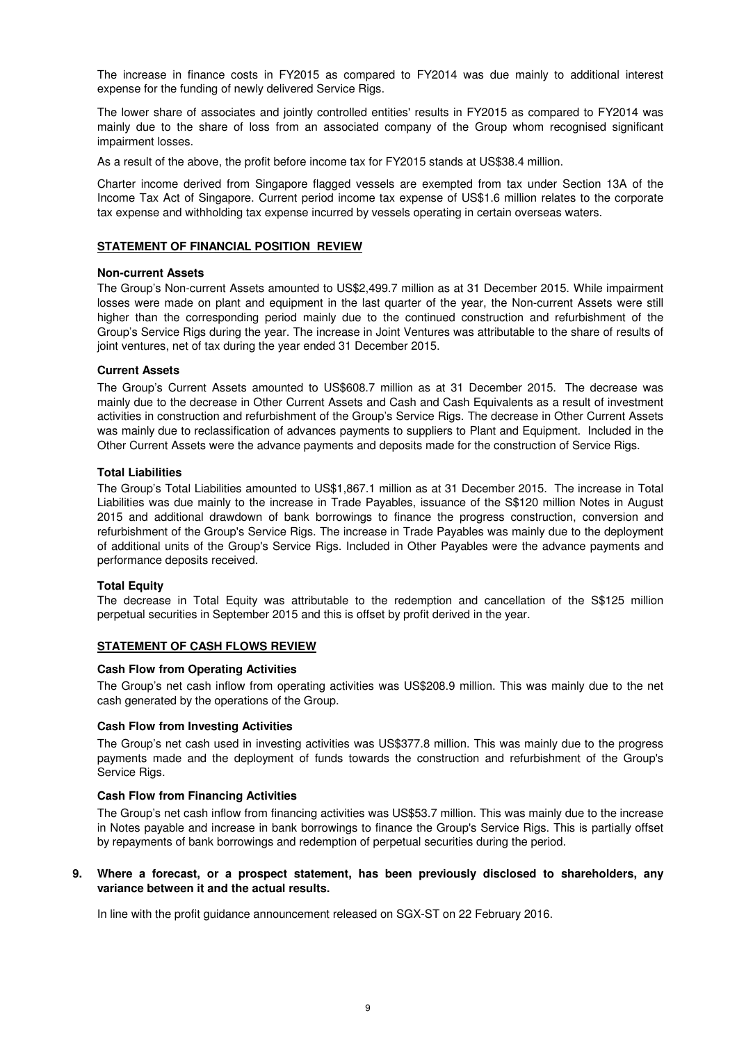The increase in finance costs in FY2015 as compared to FY2014 was due mainly to additional interest expense for the funding of newly delivered Service Rigs.

The lower share of associates and jointly controlled entities' results in FY2015 as compared to FY2014 was mainly due to the share of loss from an associated company of the Group whom recognised significant impairment losses.

As a result of the above, the profit before income tax for FY2015 stands at US\$38.4 million.

Charter income derived from Singapore flagged vessels are exempted from tax under Section 13A of the Income Tax Act of Singapore. Current period income tax expense of US\$1.6 million relates to the corporate tax expense and withholding tax expense incurred by vessels operating in certain overseas waters.

### **STATEMENT OF FINANCIAL POSITION REVIEW**

#### **Non-current Assets**

The Group's Non-current Assets amounted to US\$2,499.7 million as at 31 December 2015. While impairment losses were made on plant and equipment in the last quarter of the year, the Non-current Assets were still higher than the corresponding period mainly due to the continued construction and refurbishment of the Group's Service Rigs during the year. The increase in Joint Ventures was attributable to the share of results of joint ventures, net of tax during the year ended 31 December 2015.

#### **Current Assets**

The Group's Current Assets amounted to US\$608.7 million as at 31 December 2015. The decrease was mainly due to the decrease in Other Current Assets and Cash and Cash Equivalents as a result of investment activities in construction and refurbishment of the Group's Service Rigs. The decrease in Other Current Assets was mainly due to reclassification of advances payments to suppliers to Plant and Equipment. Included in the Other Current Assets were the advance payments and deposits made for the construction of Service Rigs.

#### **Total Liabilities**

The Group's Total Liabilities amounted to US\$1,867.1 million as at 31 December 2015. The increase in Total Liabilities was due mainly to the increase in Trade Payables, issuance of the S\$120 million Notes in August 2015 and additional drawdown of bank borrowings to finance the progress construction, conversion and refurbishment of the Group's Service Rigs. The increase in Trade Payables was mainly due to the deployment of additional units of the Group's Service Rigs. Included in Other Payables were the advance payments and performance deposits received.

#### **Total Equity**

The decrease in Total Equity was attributable to the redemption and cancellation of the S\$125 million perpetual securities in September 2015 and this is offset by profit derived in the year.

# **STATEMENT OF CASH FLOWS REVIEW**

#### **Cash Flow from Operating Activities**

The Group's net cash inflow from operating activities was US\$208.9 million. This was mainly due to the net cash generated by the operations of the Group.

#### **Cash Flow from Investing Activities**

The Group's net cash used in investing activities was US\$377.8 million. This was mainly due to the progress payments made and the deployment of funds towards the construction and refurbishment of the Group's Service Rigs.

#### **Cash Flow from Financing Activities**

The Group's net cash inflow from financing activities was US\$53.7 million. This was mainly due to the increase in Notes payable and increase in bank borrowings to finance the Group's Service Rigs. This is partially offset by repayments of bank borrowings and redemption of perpetual securities during the period.

#### **9. Where a forecast, or a prospect statement, has been previously disclosed to shareholders, any variance between it and the actual results.**

In line with the profit guidance announcement released on SGX-ST on 22 February 2016.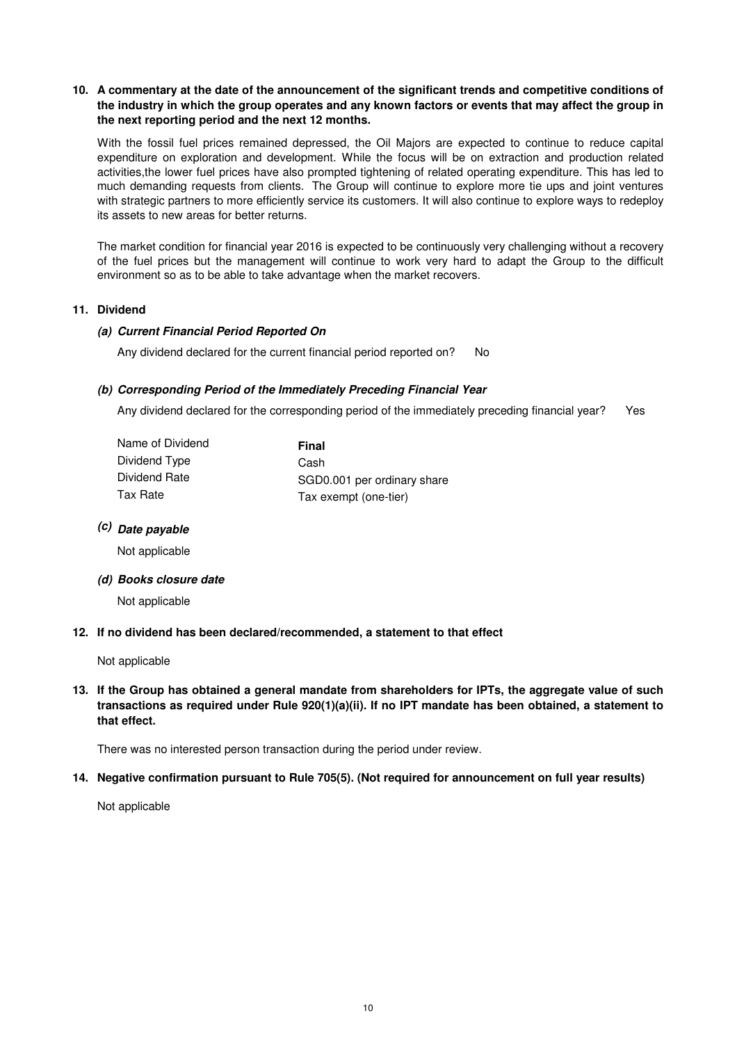## **10. A commentary at the date of the announcement of the significant trends and competitive conditions of the industry in which the group operates and any known factors or events that may affect the group in the next reporting period and the next 12 months.**

With the fossil fuel prices remained depressed, the Oil Majors are expected to continue to reduce capital expenditure on exploration and development. While the focus will be on extraction and production related activities,the lower fuel prices have also prompted tightening of related operating expenditure. This has led to much demanding requests from clients. The Group will continue to explore more tie ups and joint ventures with strategic partners to more efficiently service its customers. It will also continue to explore ways to redeploy its assets to new areas for better returns.

The market condition for financial year 2016 is expected to be continuously very challenging without a recovery of the fuel prices but the management will continue to work very hard to adapt the Group to the difficult environment so as to be able to take advantage when the market recovers.

#### **11. Dividend**

#### **(a) Current Financial Period Reported On**

Any dividend declared for the current financial period reported on? No

### **(b) Corresponding Period of the Immediately Preceding Financial Year**

Any dividend declared for the corresponding period of the immediately preceding financial year? Yes

| Name of Dividend | Final                       |
|------------------|-----------------------------|
| Dividend Type    | Cash                        |
| Dividend Rate    | SGD0.001 per ordinary share |
| Tax Rate         | Tax exempt (one-tier)       |

# **(c) Date payable**

Not applicable

**(d) Books closure date**

Not applicable

**12. If no dividend has been declared/recommended, a statement to that effect**

Not applicable

**13. If the Group has obtained a general mandate from shareholders for IPTs, the aggregate value of such transactions as required under Rule 920(1)(a)(ii). If no IPT mandate has been obtained, a statement to that effect.**

There was no interested person transaction during the period under review.

### **14. Negative confirmation pursuant to Rule 705(5). (Not required for announcement on full year results)**

Not applicable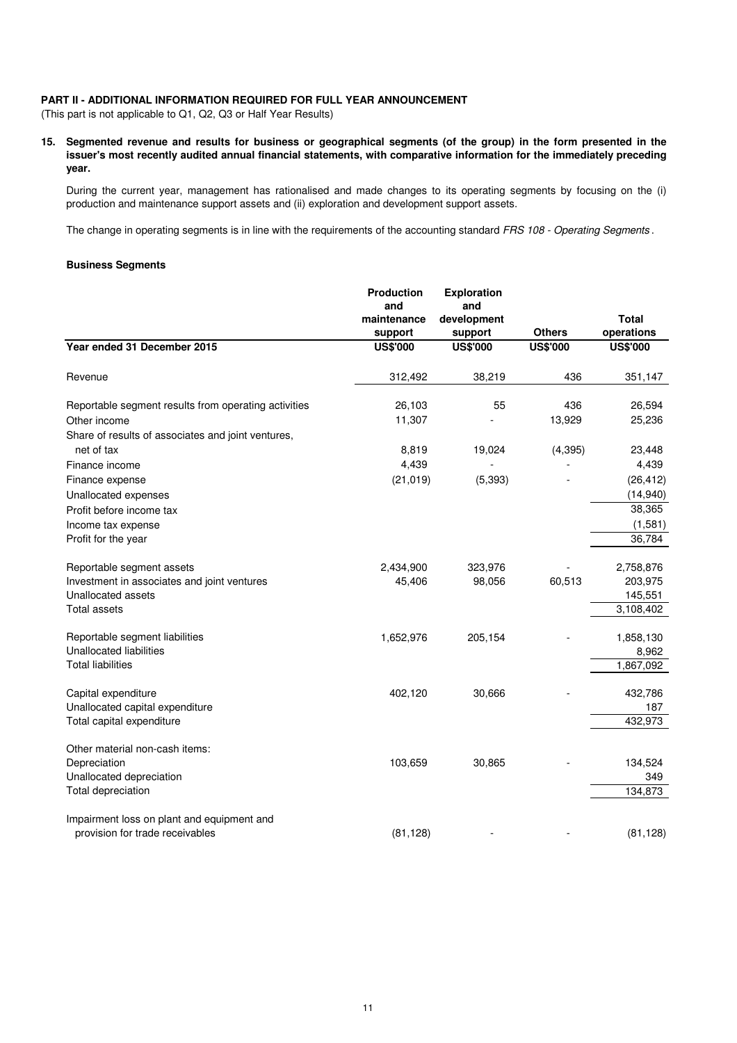### **PART II - ADDITIONAL INFORMATION REQUIRED FOR FULL YEAR ANNOUNCEMENT**

(This part is not applicable to Q1, Q2, Q3 or Half Year Results)

**15. Segmented revenue and results for business or geographical segments (of the group) in the form presented in the issuer's most recently audited annual financial statements, with comparative information for the immediately preceding year.**

During the current year, management has rationalised and made changes to its operating segments by focusing on the (i) production and maintenance support assets and (ii) exploration and development support assets.

The change in operating segments is in line with the requirements of the accounting standard FRS 108 - Operating Segments.

#### **Business Segments**

|                                                      | <b>Production</b><br>and<br>maintenance<br>support | <b>Exploration</b><br>and<br>development<br>support | <b>Others</b>   | <b>Total</b><br>operations |
|------------------------------------------------------|----------------------------------------------------|-----------------------------------------------------|-----------------|----------------------------|
| Year ended 31 December 2015                          | <b>US\$'000</b>                                    | <b>US\$'000</b>                                     | <b>US\$'000</b> | <b>US\$'000</b>            |
| Revenue                                              | 312,492                                            | 38,219                                              | 436             | 351,147                    |
| Reportable segment results from operating activities | 26,103                                             | 55                                                  | 436             | 26,594                     |
| Other income                                         | 11,307                                             |                                                     | 13,929          | 25,236                     |
| Share of results of associates and joint ventures,   |                                                    |                                                     |                 |                            |
| net of tax                                           | 8,819                                              | 19,024                                              | (4, 395)        | 23,448                     |
| Finance income                                       | 4,439                                              |                                                     |                 | 4,439                      |
| Finance expense                                      | (21, 019)                                          | (5, 393)                                            |                 | (26, 412)                  |
| Unallocated expenses                                 |                                                    |                                                     |                 | (14, 940)                  |
| Profit before income tax                             |                                                    |                                                     |                 | 38,365                     |
| Income tax expense                                   |                                                    |                                                     |                 | (1,581)                    |
| Profit for the year                                  |                                                    |                                                     |                 | 36,784                     |
| Reportable segment assets                            | 2,434,900                                          | 323,976                                             |                 | 2,758,876                  |
| Investment in associates and joint ventures          | 45,406                                             | 98,056                                              | 60,513          | 203,975                    |
| Unallocated assets                                   |                                                    |                                                     |                 | 145,551                    |
| Total assets                                         |                                                    |                                                     |                 | 3,108,402                  |
| Reportable segment liabilities                       | 1,652,976                                          | 205,154                                             |                 | 1,858,130                  |
| <b>Unallocated liabilities</b>                       |                                                    |                                                     |                 | 8,962                      |
| <b>Total liabilities</b>                             |                                                    |                                                     |                 | 1,867,092                  |
| Capital expenditure                                  | 402,120                                            | 30,666                                              |                 | 432,786                    |
| Unallocated capital expenditure                      |                                                    |                                                     |                 | 187                        |
| Total capital expenditure                            |                                                    |                                                     |                 | 432,973                    |
| Other material non-cash items:                       |                                                    |                                                     |                 |                            |
| Depreciation                                         | 103,659                                            | 30,865                                              |                 | 134,524                    |
| Unallocated depreciation                             |                                                    |                                                     |                 | 349                        |
| Total depreciation                                   |                                                    |                                                     |                 | 134,873                    |
| Impairment loss on plant and equipment and           |                                                    |                                                     |                 |                            |
| provision for trade receivables                      | (81, 128)                                          |                                                     |                 | (81, 128)                  |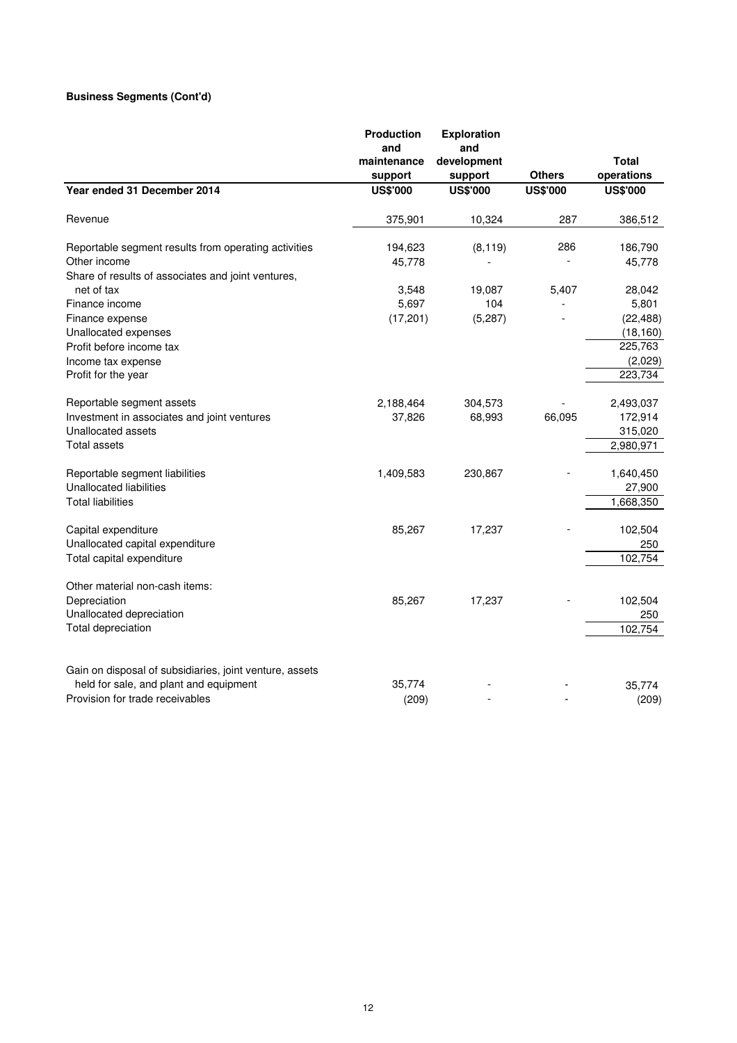# **Business Segments (Cont'd)**

|                                                                                                   | Production<br>and          | <b>Exploration</b><br>and  |                 |                            |
|---------------------------------------------------------------------------------------------------|----------------------------|----------------------------|-----------------|----------------------------|
|                                                                                                   | maintenance                | development                | <b>Others</b>   | <b>Total</b><br>operations |
| Year ended 31 December 2014                                                                       | support<br><b>US\$'000</b> | support<br><b>US\$'000</b> | <b>US\$'000</b> | <b>US\$'000</b>            |
|                                                                                                   |                            |                            |                 |                            |
| Revenue                                                                                           | 375,901                    | 10,324                     | 287             | 386,512                    |
| Reportable segment results from operating activities                                              | 194,623                    | (8, 119)                   | 286             | 186,790                    |
| Other income                                                                                      | 45,778                     |                            |                 | 45,778                     |
| Share of results of associates and joint ventures,                                                |                            |                            |                 |                            |
| net of tax                                                                                        | 3,548                      | 19,087                     | 5,407           | 28,042                     |
| Finance income                                                                                    | 5,697                      | 104                        |                 | 5,801                      |
| Finance expense                                                                                   | (17, 201)                  | (5, 287)                   |                 | (22, 488)                  |
| Unallocated expenses                                                                              |                            |                            |                 | (18, 160)                  |
| Profit before income tax                                                                          |                            |                            |                 | 225,763                    |
| Income tax expense                                                                                |                            |                            |                 | (2,029)                    |
| Profit for the year                                                                               |                            |                            |                 | 223,734                    |
| Reportable segment assets                                                                         | 2,188,464                  | 304,573                    |                 | 2,493,037                  |
| Investment in associates and joint ventures                                                       | 37,826                     | 68,993                     | 66,095          | 172,914                    |
| Unallocated assets                                                                                |                            |                            |                 | 315,020                    |
| <b>Total assets</b>                                                                               |                            |                            |                 | 2,980,971                  |
| Reportable segment liabilities                                                                    | 1,409,583                  | 230,867                    |                 | 1,640,450                  |
| <b>Unallocated liabilities</b>                                                                    |                            |                            |                 | 27,900                     |
| <b>Total liabilities</b>                                                                          |                            |                            |                 | 1,668,350                  |
| Capital expenditure                                                                               | 85,267                     | 17,237                     |                 | 102,504                    |
| Unallocated capital expenditure                                                                   |                            |                            |                 | 250                        |
| Total capital expenditure                                                                         |                            |                            |                 | 102,754                    |
| Other material non-cash items:                                                                    |                            |                            |                 |                            |
| Depreciation                                                                                      | 85,267                     | 17,237                     |                 | 102,504                    |
| Unallocated depreciation                                                                          |                            |                            |                 | 250                        |
| Total depreciation                                                                                |                            |                            |                 | 102,754                    |
|                                                                                                   |                            |                            |                 |                            |
| Gain on disposal of subsidiaries, joint venture, assets<br>held for sale, and plant and equipment | 35,774                     |                            |                 | 35,774                     |
| Provision for trade receivables                                                                   | (209)                      |                            |                 | (209)                      |